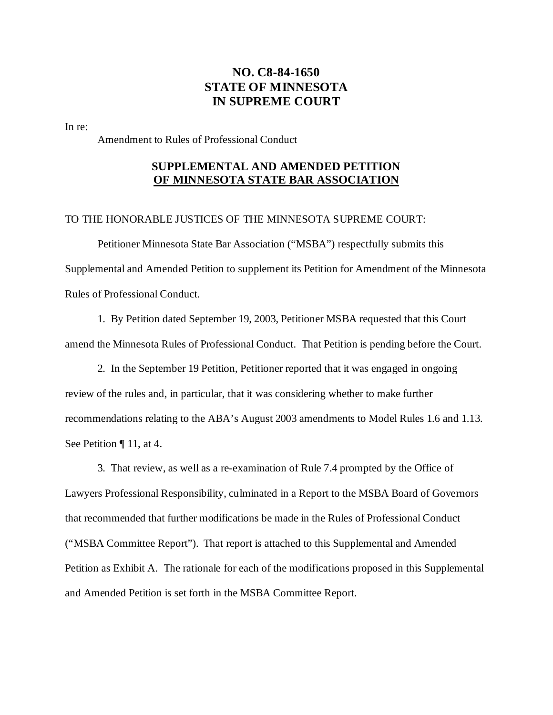# **NO. C8-84-1650 STATE OF MINNESOTA IN SUPREME COURT**

In re:

Amendment to Rules of Professional Conduct

# **SUPPLEMENTAL AND AMENDED PETITION OF MINNESOTA STATE BAR ASSOCIATION**

### TO THE HONORABLE JUSTICES OF THE MINNESOTA SUPREME COURT:

Petitioner Minnesota State Bar Association ("MSBA") respectfully submits this Supplemental and Amended Petition to supplement its Petition for Amendment of the Minnesota Rules of Professional Conduct.

1. By Petition dated September 19, 2003, Petitioner MSBA requested that this Court amend the Minnesota Rules of Professional Conduct. That Petition is pending before the Court.

2. In the September 19 Petition, Petitioner reported that it was engaged in ongoing review of the rules and, in particular, that it was considering whether to make further recommendations relating to the ABA's August 2003 amendments to Model Rules 1.6 and 1.13. See Petition ¶ 11, at 4.

3. That review, as well as a re-examination of Rule 7.4 prompted by the Office of Lawyers Professional Responsibility, culminated in a Report to the MSBA Board of Governors that recommended that further modifications be made in the Rules of Professional Conduct ("MSBA Committee Report"). That report is attached to this Supplemental and Amended Petition as Exhibit A. The rationale for each of the modifications proposed in this Supplemental and Amended Petition is set forth in the MSBA Committee Report.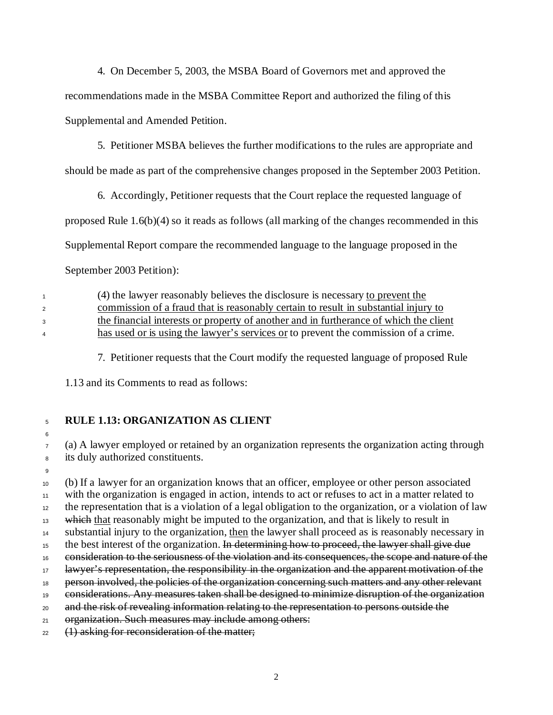4. On December 5, 2003, the MSBA Board of Governors met and approved the recommendations made in the MSBA Committee Report and authorized the filing of this Supplemental and Amended Petition.

5. Petitioner MSBA believes the further modifications to the rules are appropriate and

should be made as part of the comprehensive changes proposed in the September 2003 Petition.

6. Accordingly, Petitioner requests that the Court replace the requested language of

proposed Rule 1.6(b)(4) so it reads as follows (all marking of the changes recommended in this

Supplemental Report compare the recommended language to the language proposed in the

September 2003 Petition):

 (4) the lawyer reasonably believes the disclosure is necessary to prevent the commission of a fraud that is reasonably certain to result in substantial injury to the financial interests or property of another and in furtherance of which the client has used or is using the lawyer's services or to prevent the commission of a crime.

7. Petitioner requests that the Court modify the requested language of proposed Rule

1.13 and its Comments to read as follows:

<sup>5</sup> **RULE 1.13: ORGANIZATION AS CLIENT**

6

<sup>7</sup> (a) A lawyer employed or retained by an organization represents the organization acting through <sup>8</sup> its duly authorized constituents.

9

 (b) If a lawyer for an organization knows that an officer, employee or other person associated with the organization is engaged in action, intends to act or refuses to act in a matter related to the representation that is a violation of a legal obligation to the organization, or a violation of law <sup>13</sup> which that reasonably might be imputed to the organization, and that is likely to result in substantial injury to the organization, then the lawyer shall proceed as is reasonably necessary in <sup>15</sup> the best interest of the organization. In determining how to proceed, the lawyer shall give due consideration to the seriousness of the violation and its consequences, the scope and nature of the <sup>17</sup> lawyer's representation, the responsibility in the organization and the apparent motivation of the <sup>18</sup> person involved, the policies of the organization concerning such matters and any other relevant considerations. Any measures taken shall be designed to minimize disruption of the organization and the risk of revealing information relating to the representation to persons outside the 21 organization. Such measures may include among others: (1) asking for reconsideration of the matter;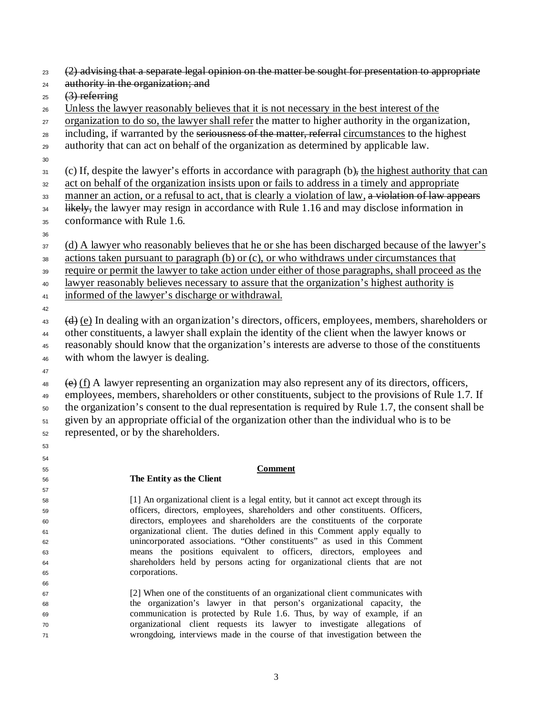- $(2)$  advising that a separate legal opinion on the matter be sought for presentation to appropriate
- 24 authority in the organization; and
- $25 \quad (3)$  referring
- Unless the lawyer reasonably believes that it is not necessary in the best interest of the
- 27 organization to do so, the lawyer shall refer the matter to higher authority in the organization,
- <sub>28</sub> including, if warranted by the seriousness of the matter, referral circumstances to the highest
- authority that can act on behalf of the organization as determined by applicable law.
- 
- (c) If, despite the lawyer's efforts in accordance with paragraph (b), the highest authority that can
- act on behalf of the organization insists upon or fails to address in a timely and appropriate
- 33 manner an action, or a refusal to act, that is clearly a violation of law, a violation of law appears
- <sup>34</sup> likely, the lawyer may resign in accordance with Rule 1.16 and may disclose information in
- conformance with Rule 1.6.
- 
- (d) A lawyer who reasonably believes that he or she has been discharged because of the lawyer's
- actions taken pursuant to paragraph (b) or (c), or who withdraws under circumstances that
- require or permit the lawyer to take action under either of those paragraphs, shall proceed as the
- lawyer reasonably believes necessary to assure that the organization's highest authority is
- informed of the lawyer's discharge or withdrawal.
- $\left(\frac{d}{dt}\right)$  (e) In dealing with an organization's directors, officers, employees, members, shareholders or other constituents, a lawyer shall explain the identity of the client when the lawyer knows or reasonably should know that the organization's interests are adverse to those of the constituents with whom the lawyer is dealing.
- 

 

- $\leftrightarrow$  (e) (f) A lawyer representing an organization may also represent any of its directors, officers, employees, members, shareholders or other constituents, subject to the provisions of Rule 1.7. If the organization's consent to the dual representation is required by Rule 1.7, the consent shall be given by an appropriate official of the organization other than the individual who is to be represented, or by the shareholders.
- **Comment**

#### **The Entity as the Client**

- [1] An organizational client is a legal entity, but it cannot act except through its officers, directors, employees, shareholders and other constituents. Officers, directors, employees and shareholders are the constituents of the corporate organizational client. The duties defined in this Comment apply equally to unincorporated associations. "Other constituents" as used in this Comment means the positions equivalent to officers, directors, employees and shareholders held by persons acting for organizational clients that are not corporations.
- [2] When one of the constituents of an organizational client communicates with the organization's lawyer in that person's organizational capacity, the communication is protected by Rule 1.6. Thus, by way of example, if an organizational client requests its lawyer to investigate allegations of wrongdoing, interviews made in the course of that investigation between the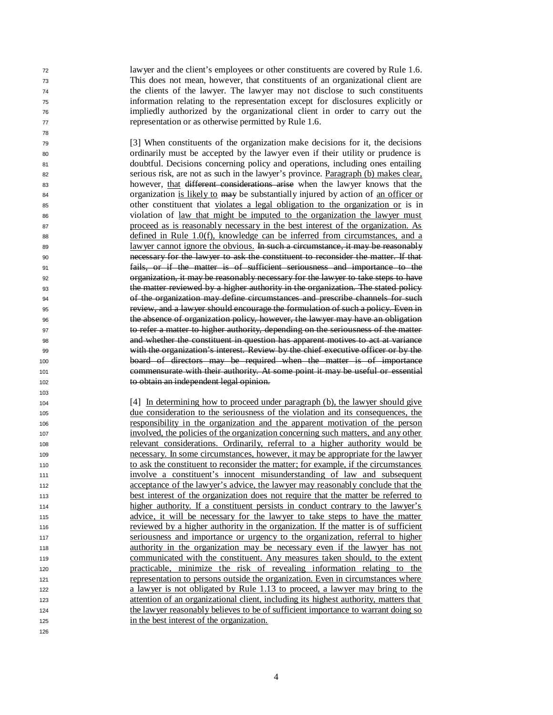lawyer and the client's employees or other constituents are covered by Rule 1.6. This does not mean, however, that constituents of an organizational client are the clients of the lawyer. The lawyer may not disclose to such constituents information relating to the representation except for disclosures explicitly or impliedly authorized by the organizational client in order to carry out the representation or as otherwise permitted by Rule 1.6.

 [3] When constituents of the organization make decisions for it, the decisions ordinarily must be accepted by the lawyer even if their utility or prudence is doubtful. Decisions concerning policy and operations, including ones entailing serious risk, are not as such in the lawyer's province. Paragraph (b) makes clear, however, that different considerations arise when the lawyer knows that the 84 organization is likely to may be substantially injured by action of an officer or other constituent that violates a legal obligation to the organization or is in violation of law that might be imputed to the organization the lawyer must proceed as is reasonably necessary in the best interest of the organization. As defined in Rule 1.0(f), knowledge can be inferred from circumstances, and a 89 lawyer cannot ignore the obvious. In such a circumstance, it may be reasonably necessary for the lawyer to ask the constituent to reconsider the matter. If that fails, or if the matter is of sufficient seriousness and importance to the organization, it may be reasonably necessary for the lawyer to take steps to have the matter reviewed by a higher authority in the organization. The stated policy of the organization may define circumstances and prescribe channels for such review, and a lawyer should encourage the formulation of such a policy. Even in the absence of organization policy, however, the lawyer may have an obligation to refer a matter to higher authority, depending on the seriousness of the matter and whether the constituent in question has apparent motives to act at variance with the organization's interest. Review by the chief executive officer or by the board of directors may be required when the matter is of importance commensurate with their authority. At some point it may be useful or essential to obtain an independent legal opinion.

 [4] In determining how to proceed under paragraph (b), the lawyer should give due consideration to the seriousness of the violation and its consequences, the responsibility in the organization and the apparent motivation of the person involved, the policies of the organization concerning such matters, and any other relevant considerations. Ordinarily, referral to a higher authority would be necessary. In some circumstances, however, it may be appropriate for the lawyer to ask the constituent to reconsider the matter; for example, if the circumstances involve a constituent's innocent misunderstanding of law and subsequent acceptance of the lawyer's advice, the lawyer may reasonably conclude that the best interest of the organization does not require that the matter be referred to higher authority. If a constituent persists in conduct contrary to the lawyer's advice, it will be necessary for the lawyer to take steps to have the matter reviewed by a higher authority in the organization. If the matter is of sufficient seriousness and importance or urgency to the organization, referral to higher authority in the organization may be necessary even if the lawyer has not communicated with the constituent. Any measures taken should, to the extent practicable, minimize the risk of revealing information relating to the representation to persons outside the organization. Even in circumstances where a lawyer is not obligated by Rule 1.13 to proceed, a lawyer may bring to the attention of an organizational client, including its highest authority, matters that the lawyer reasonably believes to be of sufficient importance to warrant doing so in the best interest of the organization.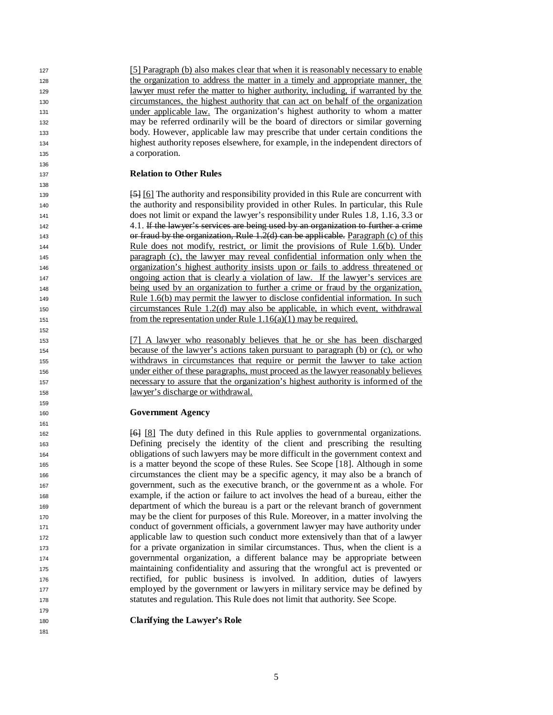[5] Paragraph (b) also makes clear that when it is reasonably necessary to enable the organization to address the matter in a timely and appropriate manner, the lawyer must refer the matter to higher authority, including, if warranted by the circumstances, the highest authority that can act on behalf of the organization under applicable law. The organization's highest authority to whom a matter may be referred ordinarily will be the board of directors or similar governing body. However, applicable law may prescribe that under certain conditions the highest authority reposes elsewhere, for example, in the independent directors of a corporation.

#### **Relation to Other Rules**

 [5] [6] The authority and responsibility provided in this Rule are concurrent with the authority and responsibility provided in other Rules. In particular, this Rule does not limit or expand the lawyer's responsibility under Rules 1.8, 1.16, 3.3 or 4.1. If the lawyer's services are being used by an organization to further a crime or fraud by the organization, Rule 1.2(d) can be applicable. Paragraph (c) of this Rule does not modify, restrict, or limit the provisions of Rule 1.6(b). Under paragraph (c), the lawyer may reveal confidential information only when the organization's highest authority insists upon or fails to address threatened or ongoing action that is clearly a violation of law. If the lawyer's services are being used by an organization to further a crime or fraud by the organization, 149 Rule 1.6(b) may permit the lawyer to disclose confidential information. In such circumstances Rule 1.2(d) may also be applicable, in which event, withdrawal 151 from the representation under Rule  $1.16(a)(1)$  may be required.

 [7] A lawyer who reasonably believes that he or she has been discharged because of the lawyer's actions taken pursuant to paragraph (b) or (c), or who withdraws in circumstances that require or permit the lawyer to take action under either of these paragraphs, must proceed as the lawyer reasonably believes necessary to assure that the organization's highest authority is informed of the lawyer's discharge or withdrawal.

#### **Government Agency**

 [6] [8] The duty defined in this Rule applies to governmental organizations. Defining precisely the identity of the client and prescribing the resulting obligations of such lawyers may be more difficult in the government context and is a matter beyond the scope of these Rules. See Scope [18]. Although in some circumstances the client may be a specific agency, it may also be a branch of government, such as the executive branch, or the governme nt as a whole. For example, if the action or failure to act involves the head of a bureau, either the department of which the bureau is a part or the relevant branch of government may be the client for purposes of this Rule. Moreover, in a matter involving the conduct of government officials, a government lawyer may have authority under applicable law to question such conduct more extensively than that of a lawyer for a private organization in similar circumstances. Thus, when the client is a governmental organization, a different balance may be appropriate between maintaining confidentiality and assuring that the wrongful act is prevented or rectified, for public business is involved. In addition, duties of lawyers employed by the government or lawyers in military service may be defined by statutes and regulation. This Rule does not limit that authority. See Scope.

**Clarifying the Lawyer's Role**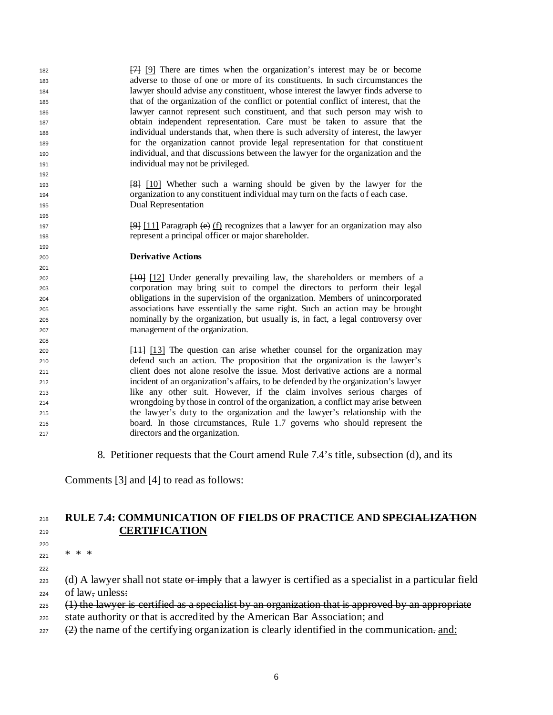| 182<br>183<br>184<br>185<br>186<br>187<br>188<br>189<br>190<br>191 | [7] [9] There are times when the organization's interest may be or become<br>adverse to those of one or more of its constituents. In such circumstances the<br>lawyer should advise any constituent, whose interest the lawyer finds adverse to<br>that of the organization of the conflict or potential conflict of interest, that the<br>lawyer cannot represent such constituent, and that such person may wish to<br>obtain independent representation. Care must be taken to assure that the<br>individual understands that, when there is such adversity of interest, the lawyer<br>for the organization cannot provide legal representation for that constituent<br>individual, and that discussions between the lawyer for the organization and the<br>individual may not be privileged. |
|--------------------------------------------------------------------|--------------------------------------------------------------------------------------------------------------------------------------------------------------------------------------------------------------------------------------------------------------------------------------------------------------------------------------------------------------------------------------------------------------------------------------------------------------------------------------------------------------------------------------------------------------------------------------------------------------------------------------------------------------------------------------------------------------------------------------------------------------------------------------------------|
| 192                                                                |                                                                                                                                                                                                                                                                                                                                                                                                                                                                                                                                                                                                                                                                                                                                                                                                  |
| 193                                                                | [8] [10] Whether such a warning should be given by the lawyer for the                                                                                                                                                                                                                                                                                                                                                                                                                                                                                                                                                                                                                                                                                                                            |
| 194<br>195                                                         | organization to any constituent individual may turn on the facts of each case.<br>Dual Representation                                                                                                                                                                                                                                                                                                                                                                                                                                                                                                                                                                                                                                                                                            |
| 196                                                                |                                                                                                                                                                                                                                                                                                                                                                                                                                                                                                                                                                                                                                                                                                                                                                                                  |
| 197                                                                | $\frac{[9]}{[11]}$ Paragraph $\left(\frac{e}{f}\right)$ recognizes that a lawyer for an organization may also                                                                                                                                                                                                                                                                                                                                                                                                                                                                                                                                                                                                                                                                                    |
| 198                                                                | represent a principal officer or major shareholder.                                                                                                                                                                                                                                                                                                                                                                                                                                                                                                                                                                                                                                                                                                                                              |
| 199                                                                |                                                                                                                                                                                                                                                                                                                                                                                                                                                                                                                                                                                                                                                                                                                                                                                                  |
| 200                                                                | <b>Derivative Actions</b>                                                                                                                                                                                                                                                                                                                                                                                                                                                                                                                                                                                                                                                                                                                                                                        |
| 201                                                                |                                                                                                                                                                                                                                                                                                                                                                                                                                                                                                                                                                                                                                                                                                                                                                                                  |
|                                                                    | [10] [12] Under generally prevailing law, the shareholders or members of a                                                                                                                                                                                                                                                                                                                                                                                                                                                                                                                                                                                                                                                                                                                       |
| 202                                                                |                                                                                                                                                                                                                                                                                                                                                                                                                                                                                                                                                                                                                                                                                                                                                                                                  |
| 203                                                                | corporation may bring suit to compel the directors to perform their legal                                                                                                                                                                                                                                                                                                                                                                                                                                                                                                                                                                                                                                                                                                                        |
| 204                                                                | obligations in the supervision of the organization. Members of unincorporated                                                                                                                                                                                                                                                                                                                                                                                                                                                                                                                                                                                                                                                                                                                    |
| 205                                                                | associations have essentially the same right. Such an action may be brought                                                                                                                                                                                                                                                                                                                                                                                                                                                                                                                                                                                                                                                                                                                      |
| 206                                                                | nominally by the organization, but usually is, in fact, a legal controversy over                                                                                                                                                                                                                                                                                                                                                                                                                                                                                                                                                                                                                                                                                                                 |
| 207                                                                | management of the organization.                                                                                                                                                                                                                                                                                                                                                                                                                                                                                                                                                                                                                                                                                                                                                                  |
| 208                                                                |                                                                                                                                                                                                                                                                                                                                                                                                                                                                                                                                                                                                                                                                                                                                                                                                  |
| 209                                                                | $[11]$ [13] The question can arise whether counsel for the organization may                                                                                                                                                                                                                                                                                                                                                                                                                                                                                                                                                                                                                                                                                                                      |
| 210                                                                | defend such an action. The proposition that the organization is the lawyer's                                                                                                                                                                                                                                                                                                                                                                                                                                                                                                                                                                                                                                                                                                                     |
| 211                                                                | client does not alone resolve the issue. Most derivative actions are a normal                                                                                                                                                                                                                                                                                                                                                                                                                                                                                                                                                                                                                                                                                                                    |
| 212                                                                | incident of an organization's affairs, to be defended by the organization's lawyer                                                                                                                                                                                                                                                                                                                                                                                                                                                                                                                                                                                                                                                                                                               |
| 213                                                                | like any other suit. However, if the claim involves serious charges of                                                                                                                                                                                                                                                                                                                                                                                                                                                                                                                                                                                                                                                                                                                           |
| 214                                                                | wrongdoing by those in control of the organization, a conflict may arise between                                                                                                                                                                                                                                                                                                                                                                                                                                                                                                                                                                                                                                                                                                                 |
| 215                                                                | the lawyer's duty to the organization and the lawyer's relationship with the                                                                                                                                                                                                                                                                                                                                                                                                                                                                                                                                                                                                                                                                                                                     |
| 216                                                                | board. In those circumstances, Rule 1.7 governs who should represent the<br>directors and the organization.                                                                                                                                                                                                                                                                                                                                                                                                                                                                                                                                                                                                                                                                                      |

8. Petitioner requests that the Court amend Rule 7.4's title, subsection (d), and its

Comments [3] and [4] to read as follows:

# **RULE 7.4: COMMUNICATION OF FIELDS OF PRACTICE AND SPECIALIZATION CERTIFICATION**

\* \* \*

223 (d) A lawyer shall not state or imply that a lawyer is certified as a specialist in a particular field of law, unless:

- 225 (1) the lawyer is certified as a specialist by an organization that is approved by an appropriate
- 226 state authority or that is accredited by the American Bar Association; and
- (2) the name of the certifying organization is clearly identified in the communication. and: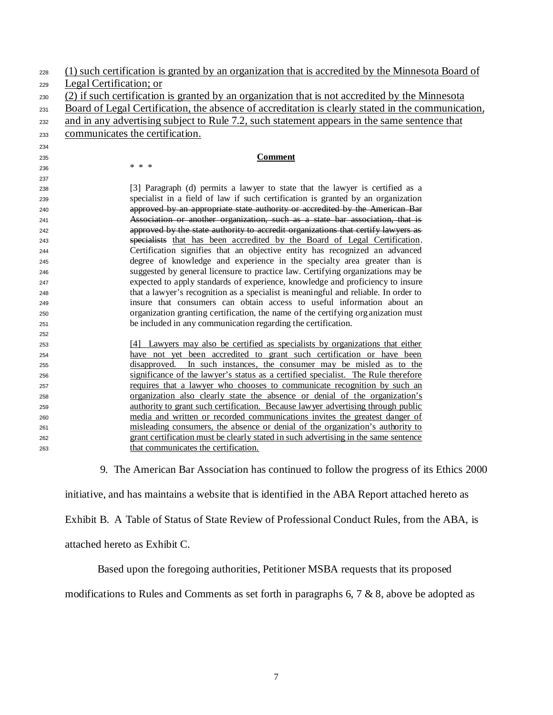| 230<br>231 | (2) if such certification is granted by an organization that is not accredited by the Minnesota                             |  |  |  |  |  |  |  |
|------------|-----------------------------------------------------------------------------------------------------------------------------|--|--|--|--|--|--|--|
|            |                                                                                                                             |  |  |  |  |  |  |  |
|            | Board of Legal Certification, the absence of accreditation is clearly stated in the communication,                          |  |  |  |  |  |  |  |
| 232        | and in any advertising subject to Rule 7.2, such statement appears in the same sentence that                                |  |  |  |  |  |  |  |
| 233        | communicates the certification.                                                                                             |  |  |  |  |  |  |  |
| 234        |                                                                                                                             |  |  |  |  |  |  |  |
| 235        | <b>Comment</b>                                                                                                              |  |  |  |  |  |  |  |
| 236        | * * *                                                                                                                       |  |  |  |  |  |  |  |
| 237        |                                                                                                                             |  |  |  |  |  |  |  |
| 238        | [3] Paragraph (d) permits a lawyer to state that the lawyer is certified as a                                               |  |  |  |  |  |  |  |
| 239        | specialist in a field of law if such certification is granted by an organization                                            |  |  |  |  |  |  |  |
| 240        | approved by an appropriate state authority or accredited by the American Bar                                                |  |  |  |  |  |  |  |
| 241        | Association or another organization, such as a state bar association, that is                                               |  |  |  |  |  |  |  |
| 242        | approved by the state authority to accredit organizations that certify lawyers as                                           |  |  |  |  |  |  |  |
| 243        | specialists that has been accredited by the Board of Legal Certification.                                                   |  |  |  |  |  |  |  |
| 244        | Certification signifies that an objective entity has recognized an advanced                                                 |  |  |  |  |  |  |  |
| 245        | degree of knowledge and experience in the specialty area greater than is                                                    |  |  |  |  |  |  |  |
| 246        | suggested by general licensure to practice law. Certifying organizations may be                                             |  |  |  |  |  |  |  |
| 247        | expected to apply standards of experience, knowledge and proficiency to insure                                              |  |  |  |  |  |  |  |
| 248        | that a lawyer's recognition as a specialist is meaningful and reliable. In order to                                         |  |  |  |  |  |  |  |
| 249        | insure that consumers can obtain access to useful information about an                                                      |  |  |  |  |  |  |  |
| 250        | organization granting certification, the name of the certifying organization must                                           |  |  |  |  |  |  |  |
| 251        | be included in any communication regarding the certification.                                                               |  |  |  |  |  |  |  |
| 252        |                                                                                                                             |  |  |  |  |  |  |  |
| 253        | [4] Lawyers may also be certified as specialists by organizations that either                                               |  |  |  |  |  |  |  |
| 254        | have not yet been accredited to grant such certification or have been                                                       |  |  |  |  |  |  |  |
| 255        | disapproved. In such instances, the consumer may be misled as to the                                                        |  |  |  |  |  |  |  |
| 256        | significance of the lawyer's status as a certified specialist. The Rule therefore                                           |  |  |  |  |  |  |  |
| 257        | requires that a lawyer who chooses to communicate recognition by such an                                                    |  |  |  |  |  |  |  |
| 258        | organization also clearly state the absence or denial of the organization's                                                 |  |  |  |  |  |  |  |
| 259        | authority to grant such certification. Because lawyer advertising through public                                            |  |  |  |  |  |  |  |
| 260        | media and written or recorded communications invites the greatest danger of                                                 |  |  |  |  |  |  |  |
| 261        | misleading consumers, the absence or denial of the organization's authority to                                              |  |  |  |  |  |  |  |
| 262        | grant certification must be clearly stated in such advertising in the same sentence<br>that communicates the certification. |  |  |  |  |  |  |  |
| 263        |                                                                                                                             |  |  |  |  |  |  |  |

9. The American Bar Association has continued to follow the progress of its Ethics 2000

initiative, and has maintains a website that is identified in the ABA Report attached hereto as

Exhibit B. A Table of Status of State Review of Professional Conduct Rules, from the ABA, is

attached hereto as Exhibit C.

Based upon the foregoing authorities, Petitioner MSBA requests that its proposed

modifications to Rules and Comments as set forth in paragraphs 6, 7 & 8, above be adopted as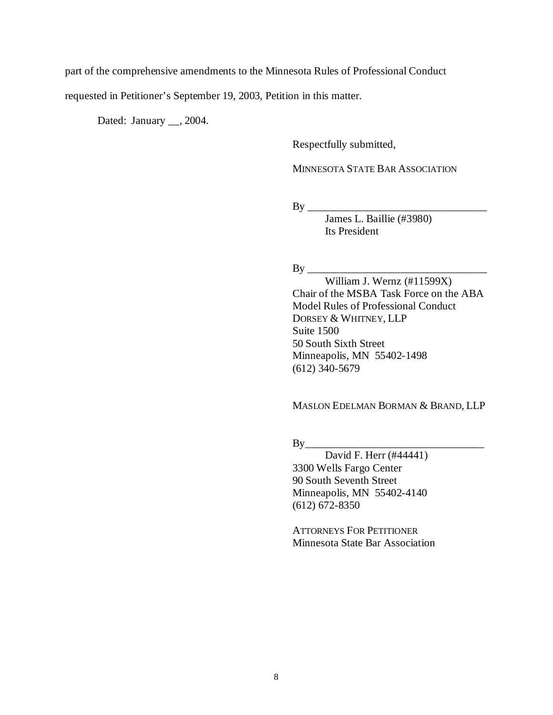part of the comprehensive amendments to the Minnesota Rules of Professional Conduct

requested in Petitioner's September 19, 2003, Petition in this matter.

Dated: January \_\_, 2004.

Respectfully submitted,

MINNESOTA STATE BAR ASSOCIATION

By \_\_\_\_\_\_\_\_\_\_\_\_\_\_\_\_\_\_\_\_\_\_\_\_\_\_\_\_\_\_\_\_\_

James L. Baillie (#3980) Its President

By \_\_\_\_\_\_\_\_\_\_\_\_\_\_\_\_\_\_\_\_\_\_\_\_\_\_\_\_\_\_\_\_\_

William J. Wernz (#11599X) Chair of the MSBA Task Force on the ABA Model Rules of Professional Conduct DORSEY & WHITNEY, LLP Suite 1500 50 South Sixth Street Minneapolis, MN 55402-1498 (612) 340-5679

MASLON EDELMAN BORMAN & BRAND, LLP

 $By$ 

David F. Herr (#44441) 3300 Wells Fargo Center 90 South Seventh Street Minneapolis, MN 55402-4140 (612) 672-8350

ATTORNEYS FOR PETITIONER Minnesota State Bar Association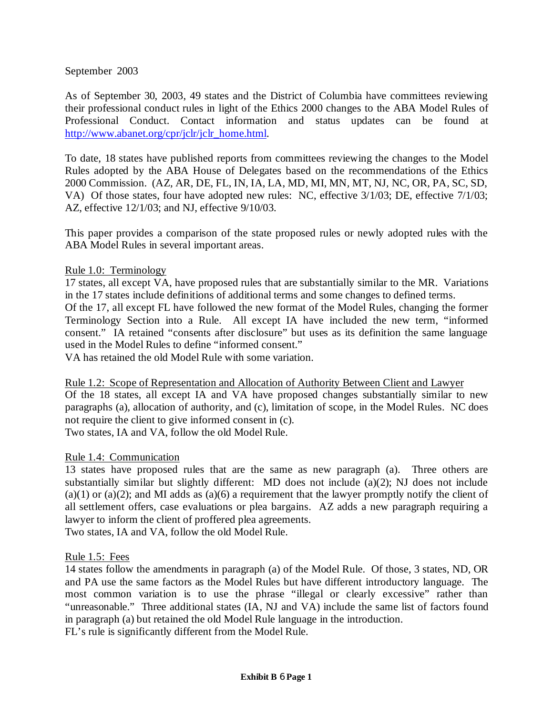September 2003

As of September 30, 2003, 49 states and the District of Columbia have committees reviewing their professional conduct rules in light of the Ethics 2000 changes to the ABA Model Rules of Professional Conduct. Contact information and status updates can be found at http://www.abanet.org/cpr/jclr/jclr\_home.html.

To date, 18 states have published reports from committees reviewing the changes to the Model Rules adopted by the ABA House of Delegates based on the recommendations of the Ethics 2000 Commission. (AZ, AR, DE, FL, IN, IA, LA, MD, MI, MN, MT, NJ, NC, OR, PA, SC, SD, VA) Of those states, four have adopted new rules: NC, effective 3/1/03; DE, effective 7/1/03; AZ, effective 12/1/03; and NJ, effective 9/10/03.

This paper provides a comparison of the state proposed rules or newly adopted rules with the ABA Model Rules in several important areas.

## Rule 1.0: Terminology

17 states, all except VA, have proposed rules that are substantially similar to the MR. Variations in the 17 states include definitions of additional terms and some changes to defined terms. Of the 17, all except FL have followed the new format of the Model Rules, changing the former Terminology Section into a Rule. All except IA have included the new term, "informed consent." IA retained "consents after disclosure" but uses as its definition the same language used in the Model Rules to define "informed consent."

VA has retained the old Model Rule with some variation.

Rule 1.2: Scope of Representation and Allocation of Authority Between Client and Lawyer Of the 18 states, all except IA and VA have proposed changes substantially similar to new paragraphs (a), allocation of authority, and (c), limitation of scope, in the Model Rules. NC does not require the client to give informed consent in (c).

Two states, IA and VA, follow the old Model Rule.

### Rule 1.4: Communication

13 states have proposed rules that are the same as new paragraph (a). Three others are substantially similar but slightly different: MD does not include (a)(2); NJ does not include  $(a)(1)$  or  $(a)(2)$ ; and MI adds as  $(a)(6)$  a requirement that the lawyer promptly notify the client of all settlement offers, case evaluations or plea bargains. AZ adds a new paragraph requiring a lawyer to inform the client of proffered plea agreements. Two states, IA and VA, follow the old Model Rule.

### Rule 1.5: Fees

14 states follow the amendments in paragraph (a) of the Model Rule. Of those, 3 states, ND, OR and PA use the same factors as the Model Rules but have different introductory language. The most common variation is to use the phrase "illegal or clearly excessive" rather than "unreasonable." Three additional states (IA, NJ and VA) include the same list of factors found in paragraph (a) but retained the old Model Rule language in the introduction. FL's rule is significantly different from the Model Rule.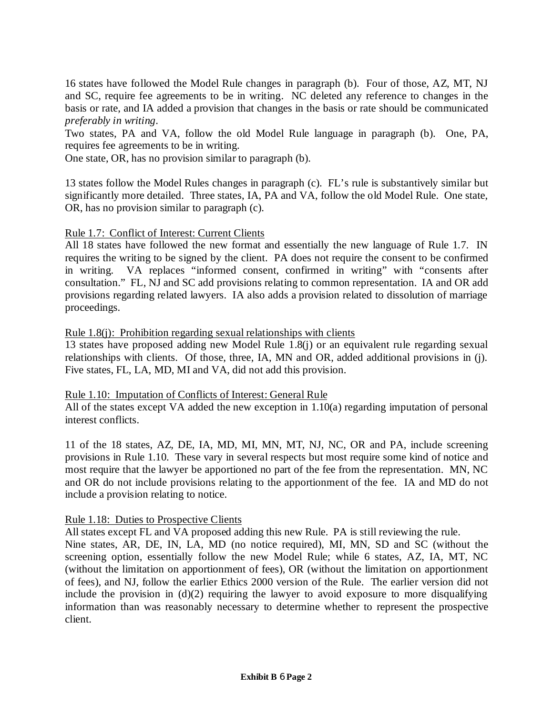16 states have followed the Model Rule changes in paragraph (b). Four of those, AZ, MT, NJ and SC, require fee agreements to be in writing. NC deleted any reference to changes in the basis or rate, and IA added a provision that changes in the basis or rate should be communicated *preferably in writing*.

Two states, PA and VA, follow the old Model Rule language in paragraph (b). One, PA, requires fee agreements to be in writing.

One state, OR, has no provision similar to paragraph (b).

13 states follow the Model Rules changes in paragraph (c). FL's rule is substantively similar but significantly more detailed. Three states, IA, PA and VA, follow the old Model Rule. One state, OR, has no provision similar to paragraph (c).

Rule 1.7: Conflict of Interest: Current Clients

All 18 states have followed the new format and essentially the new language of Rule 1.7. IN requires the writing to be signed by the client. PA does not require the consent to be confirmed in writing. VA replaces "informed consent, confirmed in writing" with "consents after consultation." FL, NJ and SC add provisions relating to common representation. IA and OR add provisions regarding related lawyers. IA also adds a provision related to dissolution of marriage proceedings.

### Rule 1.8(j): Prohibition regarding sexual relationships with clients

13 states have proposed adding new Model Rule 1.8(j) or an equivalent rule regarding sexual relationships with clients. Of those, three, IA, MN and OR, added additional provisions in (j). Five states, FL, LA, MD, MI and VA, did not add this provision.

### Rule 1.10: Imputation of Conflicts of Interest: General Rule

All of the states except VA added the new exception in 1.10(a) regarding imputation of personal interest conflicts.

11 of the 18 states, AZ, DE, IA, MD, MI, MN, MT, NJ, NC, OR and PA, include screening provisions in Rule 1.10. These vary in several respects but most require some kind of notice and most require that the lawyer be apportioned no part of the fee from the representation. MN, NC and OR do not include provisions relating to the apportionment of the fee. IA and MD do not include a provision relating to notice.

### Rule 1.18: Duties to Prospective Clients

All states except FL and VA proposed adding this new Rule. PA is still reviewing the rule.

Nine states, AR, DE, IN, LA, MD (no notice required), MI, MN, SD and SC (without the screening option, essentially follow the new Model Rule; while 6 states, AZ, IA, MT, NC (without the limitation on apportionment of fees), OR (without the limitation on apportionment of fees), and NJ, follow the earlier Ethics 2000 version of the Rule. The earlier version did not include the provision in  $(d)(2)$  requiring the lawyer to avoid exposure to more disqualifying information than was reasonably necessary to determine whether to represent the prospective client.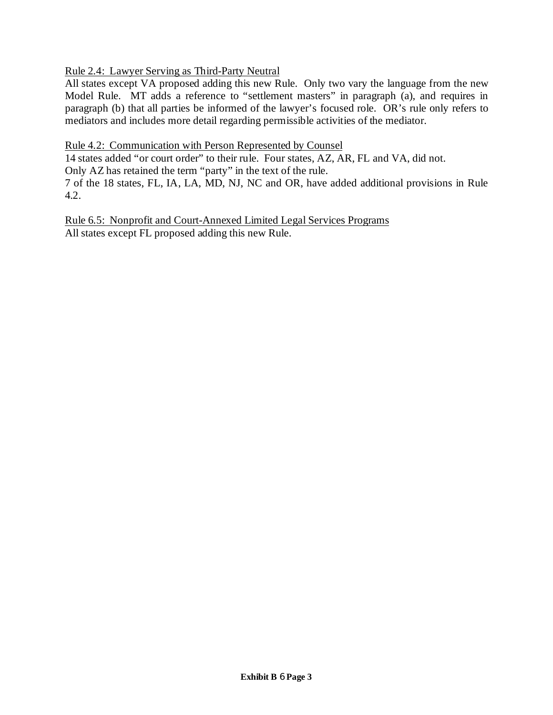## Rule 2.4: Lawyer Serving as Third-Party Neutral

All states except VA proposed adding this new Rule. Only two vary the language from the new Model Rule. MT adds a reference to "settlement masters" in paragraph (a), and requires in paragraph (b) that all parties be informed of the lawyer's focused role. OR's rule only refers to mediators and includes more detail regarding permissible activities of the mediator.

#### Rule 4.2: Communication with Person Represented by Counsel

14 states added "or court order" to their rule. Four states, AZ, AR, FL and VA, did not.

Only AZ has retained the term "party" in the text of the rule.

7 of the 18 states, FL, IA, LA, MD, NJ, NC and OR, have added additional provisions in Rule 4.2.

Rule 6.5: Nonprofit and Court-Annexed Limited Legal Services Programs All states except FL proposed adding this new Rule.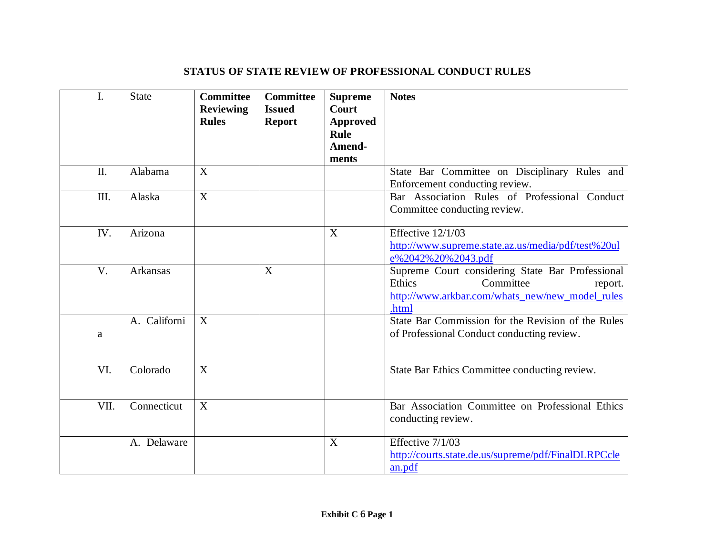# **STATUS OF STATE REVIEW OF PROFESSIONAL CONDUCT RULES**

| I.   | <b>State</b> | <b>Committee</b><br><b>Reviewing</b><br><b>Rules</b> | <b>Committee</b><br><b>Issued</b><br><b>Report</b> | <b>Supreme</b><br>Court<br><b>Approved</b><br><b>Rule</b><br>Amend-<br>ments | <b>Notes</b>                                                                                                                                   |
|------|--------------|------------------------------------------------------|----------------------------------------------------|------------------------------------------------------------------------------|------------------------------------------------------------------------------------------------------------------------------------------------|
| Π.   | Alabama      | X                                                    |                                                    |                                                                              | State Bar Committee on Disciplinary Rules and<br>Enforcement conducting review.                                                                |
| III. | Alaska       | X                                                    |                                                    |                                                                              | Bar Association Rules of Professional Conduct<br>Committee conducting review.                                                                  |
| IV.  | Arizona      |                                                      |                                                    | X                                                                            | Effective 12/1/03<br>http://www.supreme.state.az.us/media/pdf/test%20ul<br>e%2042%20%2043.pdf                                                  |
| V.   | Arkansas     |                                                      | X                                                  |                                                                              | Supreme Court considering State Bar Professional<br>Ethics<br>Committee<br>report.<br>http://www.arkbar.com/whats_new/new_model_rules<br>.html |
| a    | A. Californi | X                                                    |                                                    |                                                                              | State Bar Commission for the Revision of the Rules<br>of Professional Conduct conducting review.                                               |
| VI.  | Colorado     | X                                                    |                                                    |                                                                              | State Bar Ethics Committee conducting review.                                                                                                  |
| VII. | Connecticut  | X                                                    |                                                    |                                                                              | Bar Association Committee on Professional Ethics<br>conducting review.                                                                         |
|      | A. Delaware  |                                                      |                                                    | X                                                                            | Effective 7/1/03<br>http://courts.state.de.us/supreme/pdf/FinalDLRPCcle<br>an.pdf                                                              |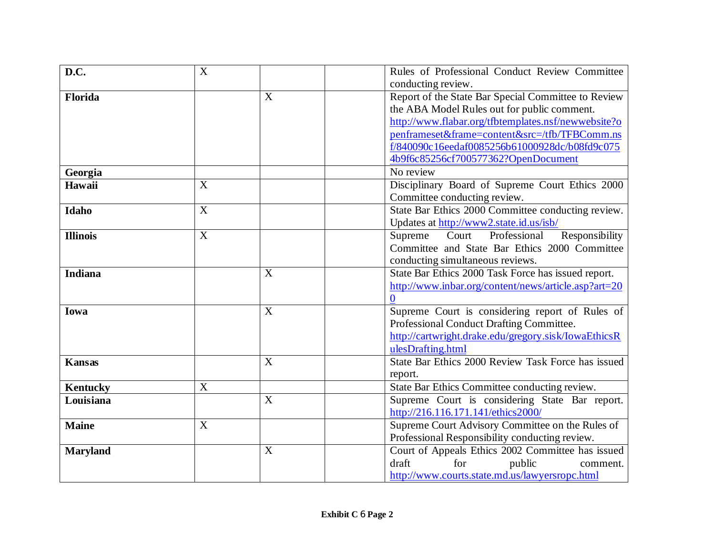| D.C.            | $\boldsymbol{\mathrm{X}}$ |                           | Rules of Professional Conduct Review Committee       |
|-----------------|---------------------------|---------------------------|------------------------------------------------------|
|                 |                           |                           | conducting review.                                   |
| Florida         |                           | X                         | Report of the State Bar Special Committee to Review  |
|                 |                           |                           | the ABA Model Rules out for public comment.          |
|                 |                           |                           | http://www.flabar.org/tfbtemplates.nsf/newwebsite?o  |
|                 |                           |                           | penframeset&frame=content&src=/tfb/TFBComm.ns        |
|                 |                           |                           | f/840090c16eedaf0085256b61000928dc/b08fd9c075        |
|                 |                           |                           | 4b9f6c85256cf700577362?OpenDocument                  |
| Georgia         |                           |                           | No review                                            |
| Hawaii          | X                         |                           | Disciplinary Board of Supreme Court Ethics 2000      |
|                 |                           |                           | Committee conducting review.                         |
| Idaho           | X                         |                           | State Bar Ethics 2000 Committee conducting review.   |
|                 |                           |                           | Updates at http://www2.state.id.us/isb/              |
| <b>Illinois</b> | $\boldsymbol{\mathrm{X}}$ |                           | Professional<br>Responsibility<br>Court<br>Supreme   |
|                 |                           |                           | Committee and State Bar Ethics 2000 Committee        |
|                 |                           |                           | conducting simultaneous reviews.                     |
| <b>Indiana</b>  |                           | X                         | State Bar Ethics 2000 Task Force has issued report.  |
|                 |                           |                           | http://www.inbar.org/content/news/article.asp?art=20 |
|                 |                           |                           | $\overline{0}$                                       |
| Iowa            |                           | $\boldsymbol{\mathrm{X}}$ | Supreme Court is considering report of Rules of      |
|                 |                           |                           | Professional Conduct Drafting Committee.             |
|                 |                           |                           | http://cartwright.drake.edu/gregory.sisk/IowaEthicsR |
|                 |                           |                           | ulesDrafting.html                                    |
| <b>Kansas</b>   |                           | $\boldsymbol{\mathrm{X}}$ | State Bar Ethics 2000 Review Task Force has issued   |
|                 |                           |                           | report.                                              |
| <b>Kentucky</b> | X                         |                           | State Bar Ethics Committee conducting review.        |
| Louisiana       |                           | X                         | Supreme Court is considering State Bar report.       |
|                 |                           |                           | http://216.116.171.141/ethics2000/                   |
| <b>Maine</b>    | X                         |                           | Supreme Court Advisory Committee on the Rules of     |
|                 |                           |                           | Professional Responsibility conducting review.       |
| <b>Maryland</b> |                           | $\overline{X}$            | Court of Appeals Ethics 2002 Committee has issued    |
|                 |                           |                           | for<br>draft<br>public<br>comment.                   |
|                 |                           |                           | http://www.courts.state.md.us/lawyersropc.html       |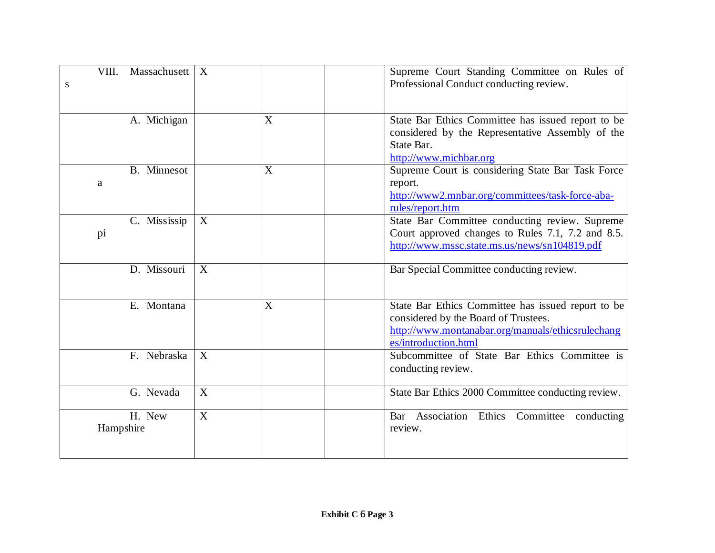| Massachusett<br>VIII. | X |   | Supreme Court Standing Committee on Rules of       |
|-----------------------|---|---|----------------------------------------------------|
| ${\bf S}$             |   |   | Professional Conduct conducting review.            |
|                       |   |   |                                                    |
| A. Michigan           |   | X | State Bar Ethics Committee has issued report to be |
|                       |   |   | considered by the Representative Assembly of the   |
|                       |   |   | State Bar.                                         |
|                       |   |   | http://www.michbar.org                             |
| <b>B.</b> Minnesot    |   | X | Supreme Court is considering State Bar Task Force  |
| a                     |   |   | report.                                            |
|                       |   |   | http://www2.mnbar.org/committees/task-force-aba-   |
|                       |   |   | rules/report.htm                                   |
| C. Mississip          | X |   | State Bar Committee conducting review. Supreme     |
| pi                    |   |   | Court approved changes to Rules 7.1, 7.2 and 8.5.  |
|                       |   |   | http://www.mssc.state.ms.us/news/sn104819.pdf      |
| D. Missouri           | X |   | Bar Special Committee conducting review.           |
|                       |   |   |                                                    |
|                       |   |   |                                                    |
| E. Montana            |   | X | State Bar Ethics Committee has issued report to be |
|                       |   |   | considered by the Board of Trustees.               |
|                       |   |   | http://www.montanabar.org/manuals/ethicsrulechang  |
|                       |   |   | es/introduction.html                               |
| F. Nebraska           | X |   | Subcommittee of State Bar Ethics Committee is      |
|                       |   |   | conducting review.                                 |
|                       |   |   |                                                    |
| G. Nevada             | X |   | State Bar Ethics 2000 Committee conducting review. |
| H. New                | X |   | Bar Association Ethics Committee<br>conducting     |
| Hampshire             |   |   | review.                                            |
|                       |   |   |                                                    |
|                       |   |   |                                                    |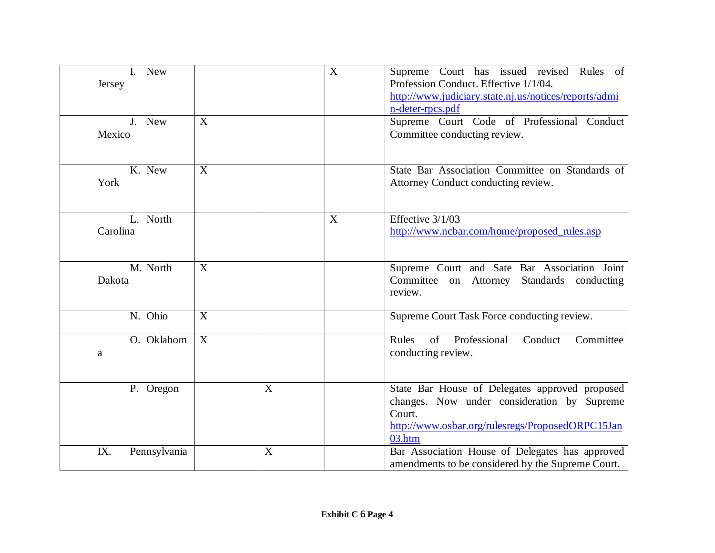| I. New<br>Jersey<br>J. New<br>Mexico | X |   | X | Supreme Court has issued revised Rules of<br>Profession Conduct. Effective 1/1/04.<br>http://www.judiciary.state.nj.us/notices/reports/admi<br>n-deter-rpcs.pdf<br>Supreme Court Code of Professional Conduct<br>Committee conducting review. |
|--------------------------------------|---|---|---|-----------------------------------------------------------------------------------------------------------------------------------------------------------------------------------------------------------------------------------------------|
|                                      |   |   |   |                                                                                                                                                                                                                                               |
| K. New<br>York                       | X |   |   | State Bar Association Committee on Standards of<br>Attorney Conduct conducting review.                                                                                                                                                        |
| L. North<br>Carolina                 |   |   | X | Effective 3/1/03<br>http://www.ncbar.com/home/proposed_rules.asp                                                                                                                                                                              |
| M. North<br>Dakota                   | X |   |   | Supreme Court and Sate Bar Association Joint<br>Committee on Attorney<br>Standards conducting<br>review.                                                                                                                                      |
| N. Ohio                              | X |   |   | Supreme Court Task Force conducting review.                                                                                                                                                                                                   |
| O. Oklahom<br>a                      | X |   |   | Rules<br>of<br>Professional<br>Committee<br>Conduct<br>conducting review.                                                                                                                                                                     |
| P. Oregon                            |   | X |   | State Bar House of Delegates approved proposed<br>changes. Now under consideration by Supreme<br>Court.<br>http://www.osbar.org/rulesregs/ProposedORPC15Jan<br>03.htm                                                                         |
| IX.<br>Pennsylvania                  |   | X |   | Bar Association House of Delegates has approved<br>amendments to be considered by the Supreme Court.                                                                                                                                          |